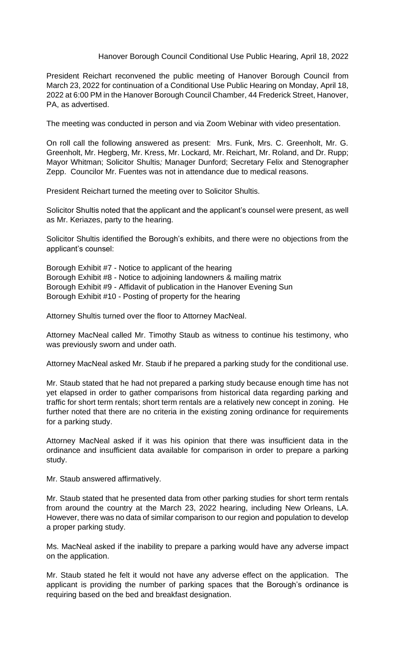## Hanover Borough Council Conditional Use Public Hearing, April 18, 2022

President Reichart reconvened the public meeting of Hanover Borough Council from March 23, 2022 for continuation of a Conditional Use Public Hearing on Monday, April 18, 2022 at 6:00 PM in the Hanover Borough Council Chamber, 44 Frederick Street, Hanover, PA, as advertised.

The meeting was conducted in person and via Zoom Webinar with video presentation.

On roll call the following answered as present: Mrs. Funk, Mrs. C. Greenholt, Mr. G. Greenholt, Mr. Hegberg, Mr. Kress, Mr. Lockard*,* Mr. Reichart, Mr. Roland, and Dr. Rupp; Mayor Whitman; Solicitor Shultis*;* Manager Dunford; Secretary Felix and Stenographer Zepp. Councilor Mr. Fuentes was not in attendance due to medical reasons.

President Reichart turned the meeting over to Solicitor Shultis.

Solicitor Shultis noted that the applicant and the applicant's counsel were present, as well as Mr. Keriazes, party to the hearing.

Solicitor Shultis identified the Borough's exhibits, and there were no objections from the applicant's counsel:

Borough Exhibit #7 - Notice to applicant of the hearing Borough Exhibit #8 - Notice to adjoining landowners & mailing matrix Borough Exhibit #9 - Affidavit of publication in the Hanover Evening Sun Borough Exhibit #10 - Posting of property for the hearing

Attorney Shultis turned over the floor to Attorney MacNeal.

Attorney MacNeal called Mr. Timothy Staub as witness to continue his testimony, who was previously sworn and under oath.

Attorney MacNeal asked Mr. Staub if he prepared a parking study for the conditional use.

Mr. Staub stated that he had not prepared a parking study because enough time has not yet elapsed in order to gather comparisons from historical data regarding parking and traffic for short term rentals; short term rentals are a relatively new concept in zoning. He further noted that there are no criteria in the existing zoning ordinance for requirements for a parking study.

Attorney MacNeal asked if it was his opinion that there was insufficient data in the ordinance and insufficient data available for comparison in order to prepare a parking study.

Mr. Staub answered affirmatively.

Mr. Staub stated that he presented data from other parking studies for short term rentals from around the country at the March 23, 2022 hearing, including New Orleans, LA. However, there was no data of similar comparison to our region and population to develop a proper parking study.

Ms. MacNeal asked if the inability to prepare a parking would have any adverse impact on the application.

Mr. Staub stated he felt it would not have any adverse effect on the application. The applicant is providing the number of parking spaces that the Borough's ordinance is requiring based on the bed and breakfast designation.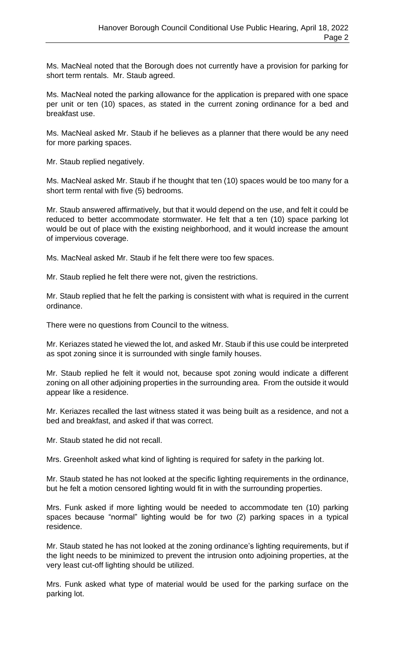Ms. MacNeal noted that the Borough does not currently have a provision for parking for short term rentals. Mr. Staub agreed.

Ms. MacNeal noted the parking allowance for the application is prepared with one space per unit or ten (10) spaces, as stated in the current zoning ordinance for a bed and breakfast use.

Ms. MacNeal asked Mr. Staub if he believes as a planner that there would be any need for more parking spaces.

Mr. Staub replied negatively.

Ms. MacNeal asked Mr. Staub if he thought that ten (10) spaces would be too many for a short term rental with five (5) bedrooms.

Mr. Staub answered affirmatively, but that it would depend on the use, and felt it could be reduced to better accommodate stormwater. He felt that a ten (10) space parking lot would be out of place with the existing neighborhood, and it would increase the amount of impervious coverage.

Ms. MacNeal asked Mr. Staub if he felt there were too few spaces.

Mr. Staub replied he felt there were not, given the restrictions.

Mr. Staub replied that he felt the parking is consistent with what is required in the current ordinance.

There were no questions from Council to the witness.

Mr. Keriazes stated he viewed the lot, and asked Mr. Staub if this use could be interpreted as spot zoning since it is surrounded with single family houses.

Mr. Staub replied he felt it would not, because spot zoning would indicate a different zoning on all other adjoining properties in the surrounding area. From the outside it would appear like a residence.

Mr. Keriazes recalled the last witness stated it was being built as a residence, and not a bed and breakfast, and asked if that was correct.

Mr. Staub stated he did not recall.

Mrs. Greenholt asked what kind of lighting is required for safety in the parking lot.

Mr. Staub stated he has not looked at the specific lighting requirements in the ordinance, but he felt a motion censored lighting would fit in with the surrounding properties.

Mrs. Funk asked if more lighting would be needed to accommodate ten (10) parking spaces because "normal" lighting would be for two (2) parking spaces in a typical residence.

Mr. Staub stated he has not looked at the zoning ordinance's lighting requirements, but if the light needs to be minimized to prevent the intrusion onto adjoining properties, at the very least cut-off lighting should be utilized.

Mrs. Funk asked what type of material would be used for the parking surface on the parking lot.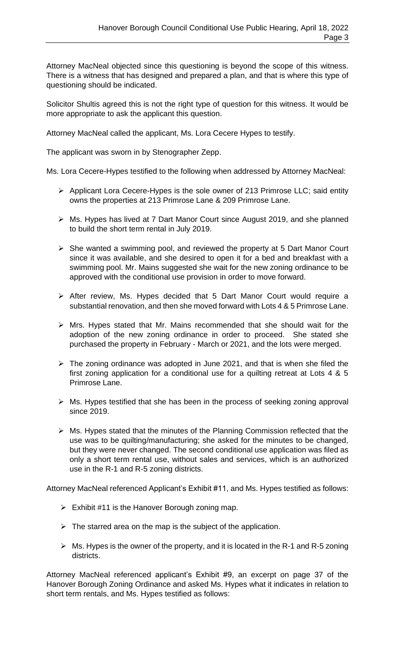Attorney MacNeal objected since this questioning is beyond the scope of this witness. There is a witness that has designed and prepared a plan, and that is where this type of questioning should be indicated.

Solicitor Shultis agreed this is not the right type of question for this witness. It would be more appropriate to ask the applicant this question.

Attorney MacNeal called the applicant, Ms. Lora Cecere Hypes to testify.

The applicant was sworn in by Stenographer Zepp.

Ms. Lora Cecere-Hypes testified to the following when addressed by Attorney MacNeal:

- ➢ Applicant Lora Cecere-Hypes is the sole owner of 213 Primrose LLC; said entity owns the properties at 213 Primrose Lane & 209 Primrose Lane.
- ➢ Ms. Hypes has lived at 7 Dart Manor Court since August 2019, and she planned to build the short term rental in July 2019.
- ➢ She wanted a swimming pool, and reviewed the property at 5 Dart Manor Court since it was available, and she desired to open it for a bed and breakfast with a swimming pool. Mr. Mains suggested she wait for the new zoning ordinance to be approved with the conditional use provision in order to move forward.
- ➢ After review, Ms. Hypes decided that 5 Dart Manor Court would require a substantial renovation, and then she moved forward with Lots 4 & 5 Primrose Lane.
- ➢ Mrs. Hypes stated that Mr. Mains recommended that she should wait for the adoption of the new zoning ordinance in order to proceed. She stated she purchased the property in February - March or 2021, and the lots were merged.
- $\triangleright$  The zoning ordinance was adopted in June 2021, and that is when she filed the first zoning application for a conditional use for a quilting retreat at Lots 4 & 5 Primrose Lane.
- ➢ Ms. Hypes testified that she has been in the process of seeking zoning approval since 2019.
- ➢ Ms. Hypes stated that the minutes of the Planning Commission reflected that the use was to be quilting/manufacturing; she asked for the minutes to be changed, but they were never changed. The second conditional use application was filed as only a short term rental use, without sales and services, which is an authorized use in the R-1 and R-5 zoning districts.

Attorney MacNeal referenced Applicant's Exhibit #11, and Ms. Hypes testified as follows:

- $\triangleright$  Exhibit #11 is the Hanover Borough zoning map.
- $\triangleright$  The starred area on the map is the subject of the application.
- $\triangleright$  Ms. Hypes is the owner of the property, and it is located in the R-1 and R-5 zoning districts.

Attorney MacNeal referenced applicant's Exhibit #9, an excerpt on page 37 of the Hanover Borough Zoning Ordinance and asked Ms. Hypes what it indicates in relation to short term rentals, and Ms. Hypes testified as follows: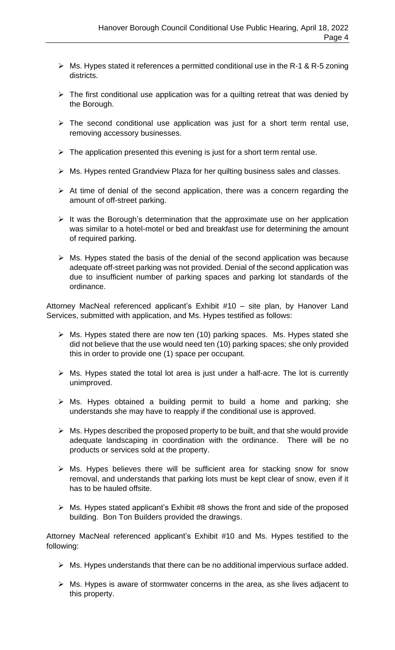- ➢ Ms. Hypes stated it references a permitted conditional use in the R-1 & R-5 zoning districts.
- $\triangleright$  The first conditional use application was for a quilting retreat that was denied by the Borough.
- $\triangleright$  The second conditional use application was just for a short term rental use, removing accessory businesses.
- $\triangleright$  The application presented this evening is just for a short term rental use.
- ➢ Ms. Hypes rented Grandview Plaza for her quilting business sales and classes.
- $\triangleright$  At time of denial of the second application, there was a concern regarding the amount of off-street parking.
- $\triangleright$  It was the Borough's determination that the approximate use on her application was similar to a hotel-motel or bed and breakfast use for determining the amount of required parking.
- $\triangleright$  Ms. Hypes stated the basis of the denial of the second application was because adequate off-street parking was not provided. Denial of the second application was due to insufficient number of parking spaces and parking lot standards of the ordinance.

Attorney MacNeal referenced applicant's Exhibit #10 – site plan, by Hanover Land Services, submitted with application, and Ms. Hypes testified as follows:

- ➢ Ms. Hypes stated there are now ten (10) parking spaces. Ms. Hypes stated she did not believe that the use would need ten (10) parking spaces; she only provided this in order to provide one (1) space per occupant.
- ➢ Ms. Hypes stated the total lot area is just under a half-acre. The lot is currently unimproved.
- ➢ Ms. Hypes obtained a building permit to build a home and parking; she understands she may have to reapply if the conditional use is approved.
- $\triangleright$  Ms. Hypes described the proposed property to be built, and that she would provide adequate landscaping in coordination with the ordinance. There will be no products or services sold at the property.
- ➢ Ms. Hypes believes there will be sufficient area for stacking snow for snow removal, and understands that parking lots must be kept clear of snow, even if it has to be hauled offsite.
- ➢ Ms. Hypes stated applicant's Exhibit #8 shows the front and side of the proposed building. Bon Ton Builders provided the drawings.

Attorney MacNeal referenced applicant's Exhibit #10 and Ms. Hypes testified to the following:

- ➢ Ms. Hypes understands that there can be no additional impervious surface added.
- ➢ Ms. Hypes is aware of stormwater concerns in the area, as she lives adjacent to this property.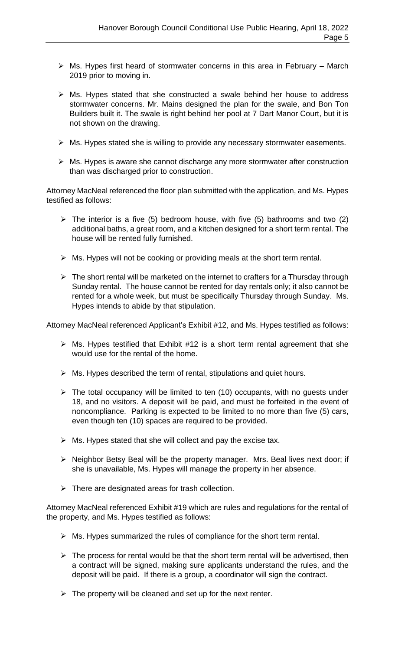- $\triangleright$  Ms. Hypes first heard of stormwater concerns in this area in February March 2019 prior to moving in.
- ➢ Ms. Hypes stated that she constructed a swale behind her house to address stormwater concerns. Mr. Mains designed the plan for the swale, and Bon Ton Builders built it. The swale is right behind her pool at 7 Dart Manor Court, but it is not shown on the drawing.
- ➢ Ms. Hypes stated she is willing to provide any necessary stormwater easements.
- ➢ Ms. Hypes is aware she cannot discharge any more stormwater after construction than was discharged prior to construction.

Attorney MacNeal referenced the floor plan submitted with the application, and Ms. Hypes testified as follows:

- $\triangleright$  The interior is a five (5) bedroom house, with five (5) bathrooms and two (2) additional baths, a great room, and a kitchen designed for a short term rental. The house will be rented fully furnished.
- ➢ Ms. Hypes will not be cooking or providing meals at the short term rental.
- $\triangleright$  The short rental will be marketed on the internet to crafters for a Thursday through Sunday rental. The house cannot be rented for day rentals only; it also cannot be rented for a whole week, but must be specifically Thursday through Sunday. Ms. Hypes intends to abide by that stipulation.

Attorney MacNeal referenced Applicant's Exhibit #12, and Ms. Hypes testified as follows:

- $\triangleright$  Ms. Hypes testified that Exhibit #12 is a short term rental agreement that she would use for the rental of the home.
- $\triangleright$  Ms. Hypes described the term of rental, stipulations and quiet hours.
- $\triangleright$  The total occupancy will be limited to ten (10) occupants, with no guests under 18, and no visitors. A deposit will be paid, and must be forfeited in the event of noncompliance. Parking is expected to be limited to no more than five (5) cars, even though ten (10) spaces are required to be provided.
- $\triangleright$  Ms. Hypes stated that she will collect and pay the excise tax.
- ➢ Neighbor Betsy Beal will be the property manager. Mrs. Beal lives next door; if she is unavailable, Ms. Hypes will manage the property in her absence.
- $\triangleright$  There are designated areas for trash collection.

Attorney MacNeal referenced Exhibit #19 which are rules and regulations for the rental of the property, and Ms. Hypes testified as follows:

- $\triangleright$  Ms. Hypes summarized the rules of compliance for the short term rental.
- $\triangleright$  The process for rental would be that the short term rental will be advertised, then a contract will be signed, making sure applicants understand the rules, and the deposit will be paid. If there is a group, a coordinator will sign the contract.
- $\triangleright$  The property will be cleaned and set up for the next renter.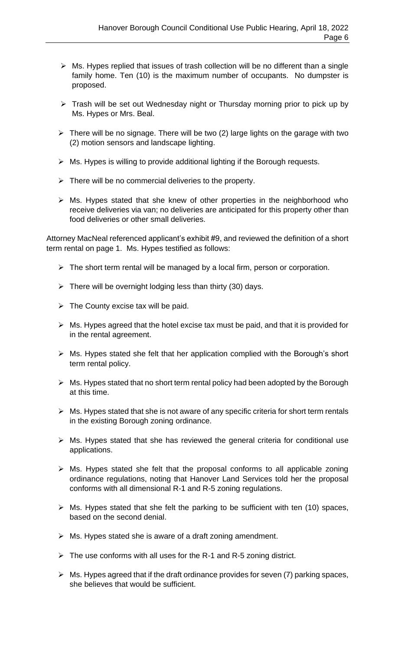- ➢ Ms. Hypes replied that issues of trash collection will be no different than a single family home. Ten (10) is the maximum number of occupants. No dumpster is proposed.
- ➢ Trash will be set out Wednesday night or Thursday morning prior to pick up by Ms. Hypes or Mrs. Beal.
- ➢ There will be no signage. There will be two (2) large lights on the garage with two (2) motion sensors and landscape lighting.
- ➢ Ms. Hypes is willing to provide additional lighting if the Borough requests.
- $\triangleright$  There will be no commercial deliveries to the property.
- ➢ Ms. Hypes stated that she knew of other properties in the neighborhood who receive deliveries via van; no deliveries are anticipated for this property other than food deliveries or other small deliveries.

Attorney MacNeal referenced applicant's exhibit #9, and reviewed the definition of a short term rental on page 1. Ms. Hypes testified as follows:

- ➢ The short term rental will be managed by a local firm, person or corporation.
- $\triangleright$  There will be overnight lodging less than thirty (30) days.
- $\triangleright$  The County excise tax will be paid.
- $\triangleright$  Ms. Hypes agreed that the hotel excise tax must be paid, and that it is provided for in the rental agreement.
- ➢ Ms. Hypes stated she felt that her application complied with the Borough's short term rental policy.
- $\triangleright$  Ms. Hypes stated that no short term rental policy had been adopted by the Borough at this time.
- ➢ Ms. Hypes stated that she is not aware of any specific criteria for short term rentals in the existing Borough zoning ordinance.
- ➢ Ms. Hypes stated that she has reviewed the general criteria for conditional use applications.
- ➢ Ms. Hypes stated she felt that the proposal conforms to all applicable zoning ordinance regulations, noting that Hanover Land Services told her the proposal conforms with all dimensional R-1 and R-5 zoning regulations.
- $\triangleright$  Ms. Hypes stated that she felt the parking to be sufficient with ten (10) spaces, based on the second denial.
- $\triangleright$  Ms. Hypes stated she is aware of a draft zoning amendment.
- $\triangleright$  The use conforms with all uses for the R-1 and R-5 zoning district.
- $\triangleright$  Ms. Hypes agreed that if the draft ordinance provides for seven (7) parking spaces, she believes that would be sufficient.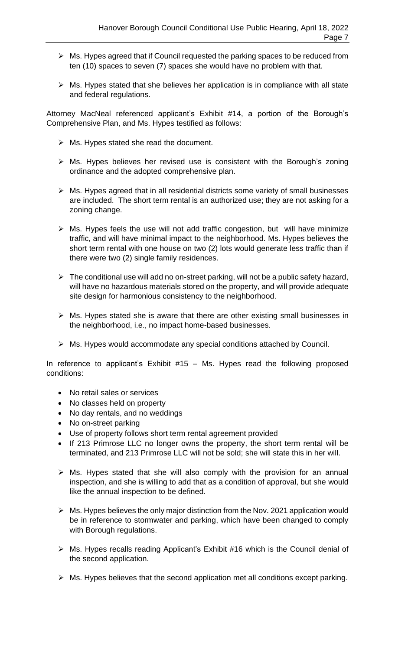- ➢ Ms. Hypes agreed that if Council requested the parking spaces to be reduced from ten (10) spaces to seven (7) spaces she would have no problem with that.
- $\triangleright$  Ms. Hypes stated that she believes her application is in compliance with all state and federal regulations.

Attorney MacNeal referenced applicant's Exhibit #14, a portion of the Borough's Comprehensive Plan, and Ms. Hypes testified as follows:

- ➢ Ms. Hypes stated she read the document.
- ➢ Ms. Hypes believes her revised use is consistent with the Borough's zoning ordinance and the adopted comprehensive plan.
- ➢ Ms. Hypes agreed that in all residential districts some variety of small businesses are included. The short term rental is an authorized use; they are not asking for a zoning change.
- $\triangleright$  Ms. Hypes feels the use will not add traffic congestion, but will have minimize traffic, and will have minimal impact to the neighborhood. Ms. Hypes believes the short term rental with one house on two (2) lots would generate less traffic than if there were two (2) single family residences.
- $\triangleright$  The conditional use will add no on-street parking, will not be a public safety hazard, will have no hazardous materials stored on the property, and will provide adequate site design for harmonious consistency to the neighborhood.
- $\triangleright$  Ms. Hypes stated she is aware that there are other existing small businesses in the neighborhood, i.e., no impact home-based businesses.
- ➢ Ms. Hypes would accommodate any special conditions attached by Council.

In reference to applicant's Exhibit #15 – Ms. Hypes read the following proposed conditions:

- No retail sales or services
- No classes held on property
- No day rentals, and no weddings
- No on-street parking
- Use of property follows short term rental agreement provided
- If 213 Primrose LLC no longer owns the property, the short term rental will be terminated, and 213 Primrose LLC will not be sold; she will state this in her will.
- $\triangleright$  Ms. Hypes stated that she will also comply with the provision for an annual inspection, and she is willing to add that as a condition of approval, but she would like the annual inspection to be defined.
- ➢ Ms. Hypes believes the only major distinction from the Nov. 2021 application would be in reference to stormwater and parking, which have been changed to comply with Borough regulations.
- ➢ Ms. Hypes recalls reading Applicant's Exhibit #16 which is the Council denial of the second application.
- $\triangleright$  Ms. Hypes believes that the second application met all conditions except parking.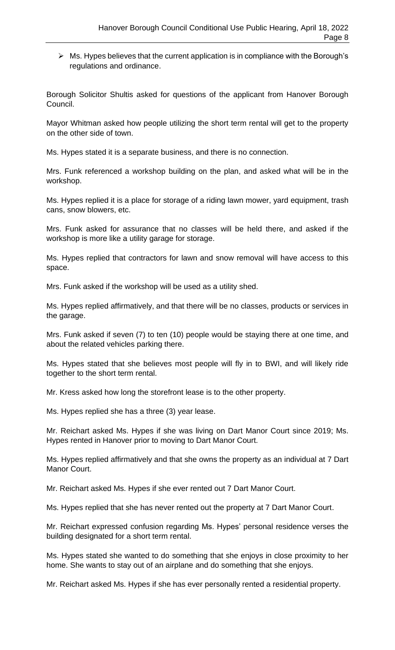$\triangleright$  Ms. Hypes believes that the current application is in compliance with the Borough's regulations and ordinance.

Borough Solicitor Shultis asked for questions of the applicant from Hanover Borough Council.

Mayor Whitman asked how people utilizing the short term rental will get to the property on the other side of town.

Ms. Hypes stated it is a separate business, and there is no connection.

Mrs. Funk referenced a workshop building on the plan, and asked what will be in the workshop.

Ms. Hypes replied it is a place for storage of a riding lawn mower, yard equipment, trash cans, snow blowers, etc.

Mrs. Funk asked for assurance that no classes will be held there, and asked if the workshop is more like a utility garage for storage.

Ms. Hypes replied that contractors for lawn and snow removal will have access to this space.

Mrs. Funk asked if the workshop will be used as a utility shed.

Ms. Hypes replied affirmatively, and that there will be no classes, products or services in the garage.

Mrs. Funk asked if seven (7) to ten (10) people would be staying there at one time, and about the related vehicles parking there.

Ms. Hypes stated that she believes most people will fly in to BWI, and will likely ride together to the short term rental.

Mr. Kress asked how long the storefront lease is to the other property.

Ms. Hypes replied she has a three (3) year lease.

Mr. Reichart asked Ms. Hypes if she was living on Dart Manor Court since 2019; Ms. Hypes rented in Hanover prior to moving to Dart Manor Court.

Ms. Hypes replied affirmatively and that she owns the property as an individual at 7 Dart Manor Court.

Mr. Reichart asked Ms. Hypes if she ever rented out 7 Dart Manor Court.

Ms. Hypes replied that she has never rented out the property at 7 Dart Manor Court.

Mr. Reichart expressed confusion regarding Ms. Hypes' personal residence verses the building designated for a short term rental.

Ms. Hypes stated she wanted to do something that she enjoys in close proximity to her home. She wants to stay out of an airplane and do something that she enjoys.

Mr. Reichart asked Ms. Hypes if she has ever personally rented a residential property.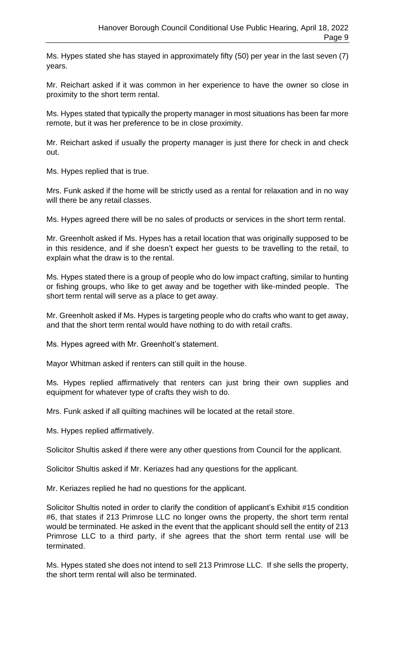Ms. Hypes stated she has stayed in approximately fifty (50) per year in the last seven (7) years.

Mr. Reichart asked if it was common in her experience to have the owner so close in proximity to the short term rental.

Ms. Hypes stated that typically the property manager in most situations has been far more remote, but it was her preference to be in close proximity.

Mr. Reichart asked if usually the property manager is just there for check in and check out.

Ms. Hypes replied that is true.

Mrs. Funk asked if the home will be strictly used as a rental for relaxation and in no way will there be any retail classes.

Ms. Hypes agreed there will be no sales of products or services in the short term rental.

Mr. Greenholt asked if Ms. Hypes has a retail location that was originally supposed to be in this residence, and if she doesn't expect her guests to be travelling to the retail, to explain what the draw is to the rental.

Ms. Hypes stated there is a group of people who do low impact crafting, similar to hunting or fishing groups, who like to get away and be together with like-minded people. The short term rental will serve as a place to get away.

Mr. Greenholt asked if Ms. Hypes is targeting people who do crafts who want to get away, and that the short term rental would have nothing to do with retail crafts.

Ms. Hypes agreed with Mr. Greenholt's statement.

Mayor Whitman asked if renters can still quilt in the house.

Ms. Hypes replied affirmatively that renters can just bring their own supplies and equipment for whatever type of crafts they wish to do.

Mrs. Funk asked if all quilting machines will be located at the retail store.

Ms. Hypes replied affirmatively.

Solicitor Shultis asked if there were any other questions from Council for the applicant.

Solicitor Shultis asked if Mr. Keriazes had any questions for the applicant.

Mr. Keriazes replied he had no questions for the applicant.

Solicitor Shultis noted in order to clarify the condition of applicant's Exhibit #15 condition #6, that states if 213 Primrose LLC no longer owns the property, the short term rental would be terminated. He asked in the event that the applicant should sell the entity of 213 Primrose LLC to a third party, if she agrees that the short term rental use will be terminated.

Ms. Hypes stated she does not intend to sell 213 Primrose LLC. If she sells the property, the short term rental will also be terminated.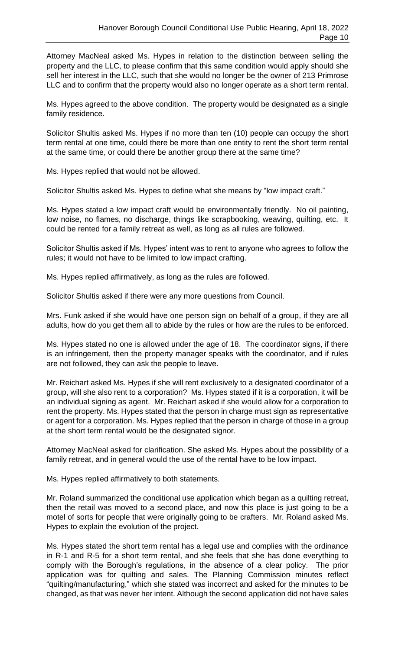Attorney MacNeal asked Ms. Hypes in relation to the distinction between selling the property and the LLC, to please confirm that this same condition would apply should she sell her interest in the LLC, such that she would no longer be the owner of 213 Primrose LLC and to confirm that the property would also no longer operate as a short term rental.

Ms. Hypes agreed to the above condition. The property would be designated as a single family residence.

Solicitor Shultis asked Ms. Hypes if no more than ten (10) people can occupy the short term rental at one time, could there be more than one entity to rent the short term rental at the same time, or could there be another group there at the same time?

Ms. Hypes replied that would not be allowed.

Solicitor Shultis asked Ms. Hypes to define what she means by "low impact craft."

Ms. Hypes stated a low impact craft would be environmentally friendly. No oil painting, low noise, no flames, no discharge, things like scrapbooking, weaving, quilting, etc. It could be rented for a family retreat as well, as long as all rules are followed.

Solicitor Shultis asked if Ms. Hypes' intent was to rent to anyone who agrees to follow the rules; it would not have to be limited to low impact crafting.

Ms. Hypes replied affirmatively, as long as the rules are followed.

Solicitor Shultis asked if there were any more questions from Council.

Mrs. Funk asked if she would have one person sign on behalf of a group, if they are all adults, how do you get them all to abide by the rules or how are the rules to be enforced.

Ms. Hypes stated no one is allowed under the age of 18. The coordinator signs, if there is an infringement, then the property manager speaks with the coordinator, and if rules are not followed, they can ask the people to leave.

Mr. Reichart asked Ms. Hypes if she will rent exclusively to a designated coordinator of a group, will she also rent to a corporation? Ms. Hypes stated if it is a corporation, it will be an individual signing as agent. Mr. Reichart asked if she would allow for a corporation to rent the property. Ms. Hypes stated that the person in charge must sign as representative or agent for a corporation. Ms. Hypes replied that the person in charge of those in a group at the short term rental would be the designated signor.

Attorney MacNeal asked for clarification. She asked Ms. Hypes about the possibility of a family retreat, and in general would the use of the rental have to be low impact.

Ms. Hypes replied affirmatively to both statements.

Mr. Roland summarized the conditional use application which began as a quilting retreat, then the retail was moved to a second place, and now this place is just going to be a motel of sorts for people that were originally going to be crafters. Mr. Roland asked Ms. Hypes to explain the evolution of the project.

Ms. Hypes stated the short term rental has a legal use and complies with the ordinance in R-1 and R-5 for a short term rental, and she feels that she has done everything to comply with the Borough's regulations, in the absence of a clear policy. The prior application was for quilting and sales. The Planning Commission minutes reflect "quilting/manufacturing," which she stated was incorrect and asked for the minutes to be changed, as that was never her intent. Although the second application did not have sales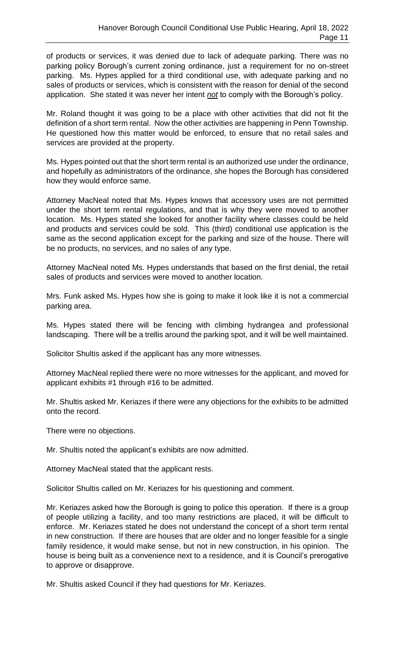of products or services, it was denied due to lack of adequate parking. There was no parking policy Borough's current zoning ordinance, just a requirement for no on-street parking. Ms. Hypes applied for a third conditional use, with adequate parking and no sales of products or services, which is consistent with the reason for denial of the second application. She stated it was never her intent *not* to comply with the Borough's policy.

Mr. Roland thought it was going to be a place with other activities that did not fit the definition of a short term rental. Now the other activities are happening in Penn Township. He questioned how this matter would be enforced, to ensure that no retail sales and services are provided at the property.

Ms. Hypes pointed out that the short term rental is an authorized use under the ordinance, and hopefully as administrators of the ordinance, she hopes the Borough has considered how they would enforce same.

Attorney MacNeal noted that Ms. Hypes knows that accessory uses are not permitted under the short term rental regulations, and that is why they were moved to another location. Ms. Hypes stated she looked for another facility where classes could be held and products and services could be sold. This (third) conditional use application is the same as the second application except for the parking and size of the house. There will be no products, no services, and no sales of any type.

Attorney MacNeal noted Ms. Hypes understands that based on the first denial, the retail sales of products and services were moved to another location.

Mrs. Funk asked Ms. Hypes how she is going to make it look like it is not a commercial parking area.

Ms. Hypes stated there will be fencing with climbing hydrangea and professional landscaping. There will be a trellis around the parking spot, and it will be well maintained.

Solicitor Shultis asked if the applicant has any more witnesses.

Attorney MacNeal replied there were no more witnesses for the applicant, and moved for applicant exhibits #1 through #16 to be admitted.

Mr. Shultis asked Mr. Keriazes if there were any objections for the exhibits to be admitted onto the record.

There were no objections.

Mr. Shultis noted the applicant's exhibits are now admitted.

Attorney MacNeal stated that the applicant rests.

Solicitor Shultis called on Mr. Keriazes for his questioning and comment.

Mr. Keriazes asked how the Borough is going to police this operation. If there is a group of people utilizing a facility, and too many restrictions are placed, it will be difficult to enforce. Mr. Keriazes stated he does not understand the concept of a short term rental in new construction. If there are houses that are older and no longer feasible for a single family residence, it would make sense, but not in new construction, in his opinion. The house is being built as a convenience next to a residence, and it is Council's prerogative to approve or disapprove.

Mr. Shultis asked Council if they had questions for Mr. Keriazes.